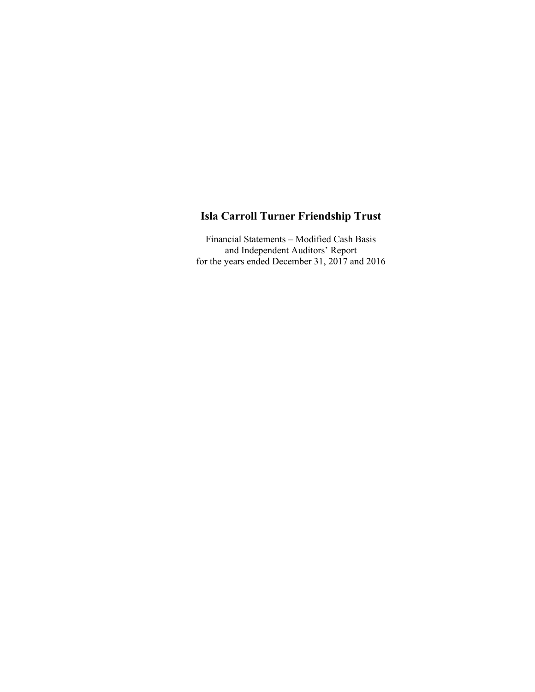Financial Statements – Modified Cash Basis and Independent Auditors' Report for the years ended December 31, 2017 and 2016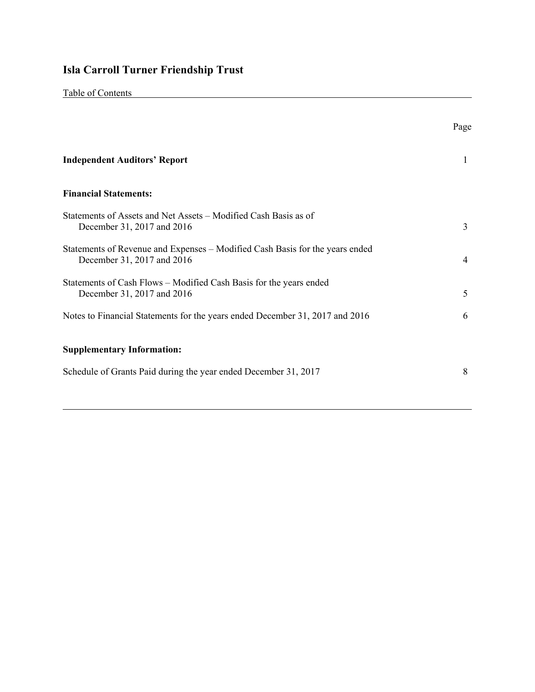|--|

|                                                                                                            | Page         |
|------------------------------------------------------------------------------------------------------------|--------------|
| <b>Independent Auditors' Report</b>                                                                        | $\mathbf{I}$ |
| <b>Financial Statements:</b>                                                                               |              |
| Statements of Assets and Net Assets – Modified Cash Basis as of<br>December 31, 2017 and 2016              | 3            |
| Statements of Revenue and Expenses – Modified Cash Basis for the years ended<br>December 31, 2017 and 2016 | 4            |
| Statements of Cash Flows – Modified Cash Basis for the years ended<br>December 31, 2017 and 2016           | 5            |
| Notes to Financial Statements for the years ended December 31, 2017 and 2016                               | 6            |
| <b>Supplementary Information:</b>                                                                          |              |
| Schedule of Grants Paid during the year ended December 31, 2017                                            | 8            |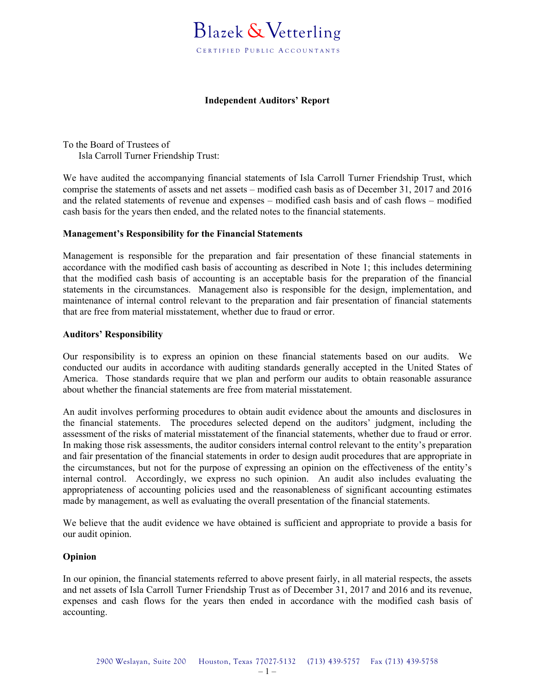### **Independent Auditors' Report**

To the Board of Trustees of Isla Carroll Turner Friendship Trust:

We have audited the accompanying financial statements of Isla Carroll Turner Friendship Trust, which comprise the statements of assets and net assets – modified cash basis as of December 31, 2017 and 2016 and the related statements of revenue and expenses – modified cash basis and of cash flows – modified cash basis for the years then ended, and the related notes to the financial statements.

### **Management's Responsibility for the Financial Statements**

Management is responsible for the preparation and fair presentation of these financial statements in accordance with the modified cash basis of accounting as described in Note 1; this includes determining that the modified cash basis of accounting is an acceptable basis for the preparation of the financial statements in the circumstances. Management also is responsible for the design, implementation, and maintenance of internal control relevant to the preparation and fair presentation of financial statements that are free from material misstatement, whether due to fraud or error.

### **Auditors' Responsibility**

Our responsibility is to express an opinion on these financial statements based on our audits. We conducted our audits in accordance with auditing standards generally accepted in the United States of America. Those standards require that we plan and perform our audits to obtain reasonable assurance about whether the financial statements are free from material misstatement.

An audit involves performing procedures to obtain audit evidence about the amounts and disclosures in the financial statements. The procedures selected depend on the auditors' judgment, including the assessment of the risks of material misstatement of the financial statements, whether due to fraud or error. In making those risk assessments, the auditor considers internal control relevant to the entity's preparation and fair presentation of the financial statements in order to design audit procedures that are appropriate in the circumstances, but not for the purpose of expressing an opinion on the effectiveness of the entity's internal control. Accordingly, we express no such opinion. An audit also includes evaluating the appropriateness of accounting policies used and the reasonableness of significant accounting estimates made by management, as well as evaluating the overall presentation of the financial statements.

We believe that the audit evidence we have obtained is sufficient and appropriate to provide a basis for our audit opinion.

### **Opinion**

In our opinion, the financial statements referred to above present fairly, in all material respects, the assets and net assets of Isla Carroll Turner Friendship Trust as of December 31, 2017 and 2016 and its revenue, expenses and cash flows for the years then ended in accordance with the modified cash basis of accounting.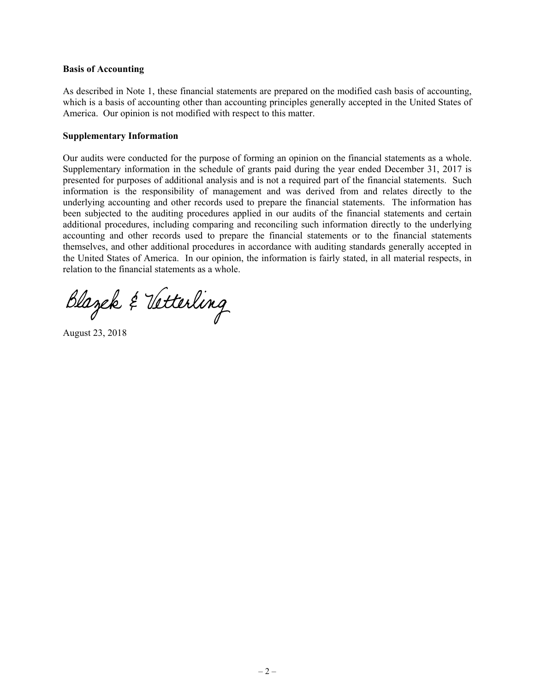#### **Basis of Accounting**

As described in Note 1, these financial statements are prepared on the modified cash basis of accounting, which is a basis of accounting other than accounting principles generally accepted in the United States of America. Our opinion is not modified with respect to this matter.

#### **Supplementary Information**

Our audits were conducted for the purpose of forming an opinion on the financial statements as a whole. Supplementary information in the schedule of grants paid during the year ended December 31, 2017 is presented for purposes of additional analysis and is not a required part of the financial statements. Such information is the responsibility of management and was derived from and relates directly to the underlying accounting and other records used to prepare the financial statements. The information has been subjected to the auditing procedures applied in our audits of the financial statements and certain additional procedures, including comparing and reconciling such information directly to the underlying accounting and other records used to prepare the financial statements or to the financial statements themselves, and other additional procedures in accordance with auditing standards generally accepted in the United States of America. In our opinion, the information is fairly stated, in all material respects, in relation to the financial statements as a whole.

Blazek & Vetterling

August 23, 2018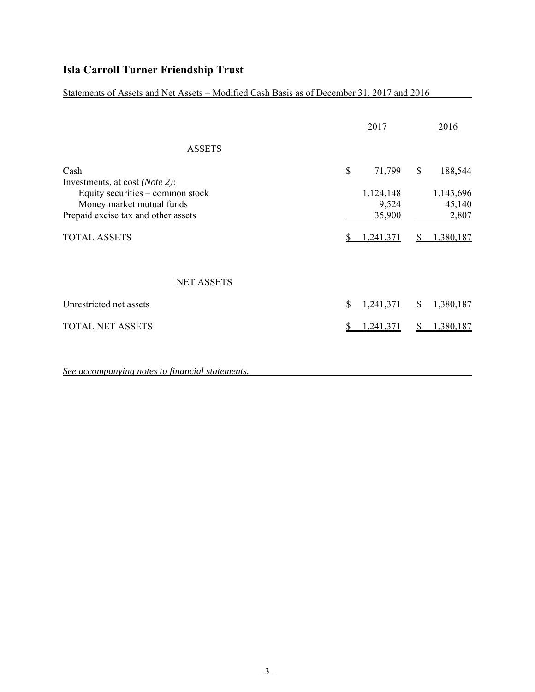Statements of Assets and Net Assets – Modified Cash Basis as of December 31, 2017 and 2016

|                                                                  | 2017            |    | 2016            |
|------------------------------------------------------------------|-----------------|----|-----------------|
| <b>ASSETS</b>                                                    |                 |    |                 |
| Cash<br>Investments, at cost ( <i>Note 2</i> ):                  | \$<br>71,799    | \$ | 188,544         |
| Equity securities – common stock                                 | 1,124,148       |    | 1,143,696       |
| Money market mutual funds<br>Prepaid excise tax and other assets | 9,524<br>35,900 |    | 45,140<br>2,807 |
| <b>TOTAL ASSETS</b>                                              | ,241,371        |    | 1,380,187       |
| <b>NET ASSETS</b>                                                |                 |    |                 |
| Unrestricted net assets                                          | \$<br>1,241,371 | S  | 1,380,187       |
| <b>TOTAL NET ASSETS</b>                                          | 1,241,371       |    | 1,380,187       |

*See accompanying notes to financial statements.*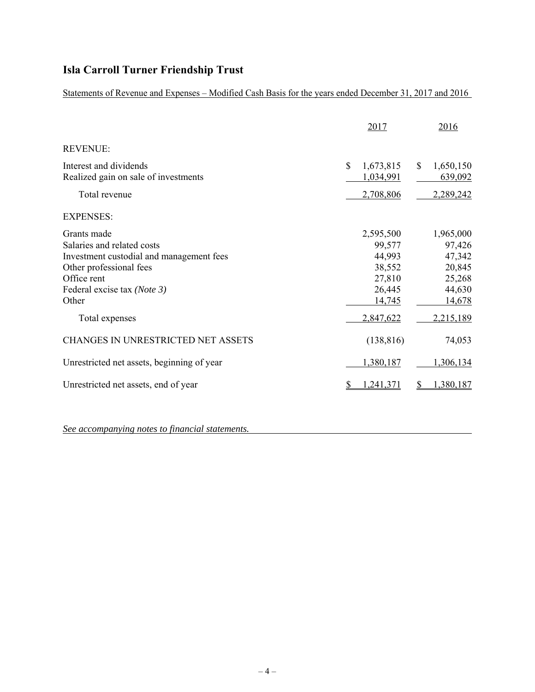Statements of Revenue and Expenses – Modified Cash Basis for the years ended December 31, 2017 and 2016

|                                                                                                                                                                                           | 2017                                                                               | 2016                                                                               |
|-------------------------------------------------------------------------------------------------------------------------------------------------------------------------------------------|------------------------------------------------------------------------------------|------------------------------------------------------------------------------------|
| <b>REVENUE:</b>                                                                                                                                                                           |                                                                                    |                                                                                    |
| Interest and dividends<br>Realized gain on sale of investments                                                                                                                            | \$<br>1,673,815<br>1,034,991                                                       | 1,650,150<br>S.<br>639,092                                                         |
| Total revenue                                                                                                                                                                             | 2,708,806                                                                          | 2,289,242                                                                          |
| <b>EXPENSES:</b>                                                                                                                                                                          |                                                                                    |                                                                                    |
| Grants made<br>Salaries and related costs<br>Investment custodial and management fees<br>Other professional fees<br>Office rent<br>Federal excise tax (Note 3)<br>Other<br>Total expenses | 2,595,500<br>99,577<br>44,993<br>38,552<br>27,810<br>26,445<br>14,745<br>2,847,622 | 1,965,000<br>97,426<br>47,342<br>20,845<br>25,268<br>44,630<br>14,678<br>2,215,189 |
| <b>CHANGES IN UNRESTRICTED NET ASSETS</b>                                                                                                                                                 | (138, 816)                                                                         | 74,053                                                                             |
| Unrestricted net assets, beginning of year                                                                                                                                                | 1,380,187                                                                          | 1,306,134                                                                          |
| Unrestricted net assets, end of year                                                                                                                                                      | <u>,241,371</u>                                                                    | 1,380,187<br>Ж                                                                     |

*See accompanying notes to financial statements.*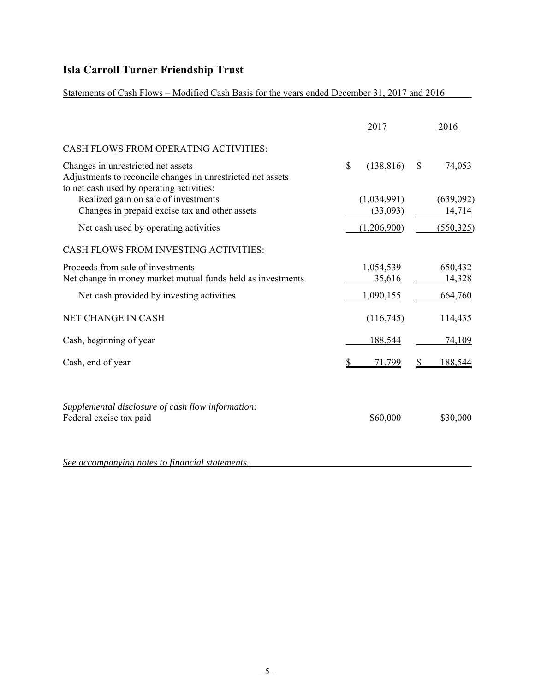Statements of Cash Flows – Modified Cash Basis for the years ended December 31, 2017 and 2016

|                                                                                                                                                |              | 2017                    |    | 2016                |
|------------------------------------------------------------------------------------------------------------------------------------------------|--------------|-------------------------|----|---------------------|
| CASH FLOWS FROM OPERATING ACTIVITIES:                                                                                                          |              |                         |    |                     |
| Changes in unrestricted net assets<br>Adjustments to reconcile changes in unrestricted net assets<br>to net cash used by operating activities: | $\mathbb{S}$ | (138, 816)              | \$ | 74,053              |
| Realized gain on sale of investments<br>Changes in prepaid excise tax and other assets                                                         |              | (1,034,991)<br>(33,093) |    | (639,092)<br>14,714 |
|                                                                                                                                                |              |                         |    |                     |
| Net cash used by operating activities                                                                                                          |              | (1,206,900)             |    | (550, 325)          |
| CASH FLOWS FROM INVESTING ACTIVITIES:                                                                                                          |              |                         |    |                     |
| Proceeds from sale of investments<br>Net change in money market mutual funds held as investments                                               |              | 1,054,539<br>35,616     |    | 650,432<br>14,328   |
| Net cash provided by investing activities                                                                                                      |              | 1,090,155               |    | 664,760             |
| NET CHANGE IN CASH                                                                                                                             |              | (116,745)               |    | 114,435             |
| Cash, beginning of year                                                                                                                        |              | 188,544                 |    | 74,109              |
| Cash, end of year                                                                                                                              |              | 71,799                  | S  | 188,544             |
| Supplemental disclosure of cash flow information:<br>Federal excise tax paid                                                                   |              | \$60,000                |    | \$30,000            |
| See accompanying notes to financial statements.                                                                                                |              |                         |    |                     |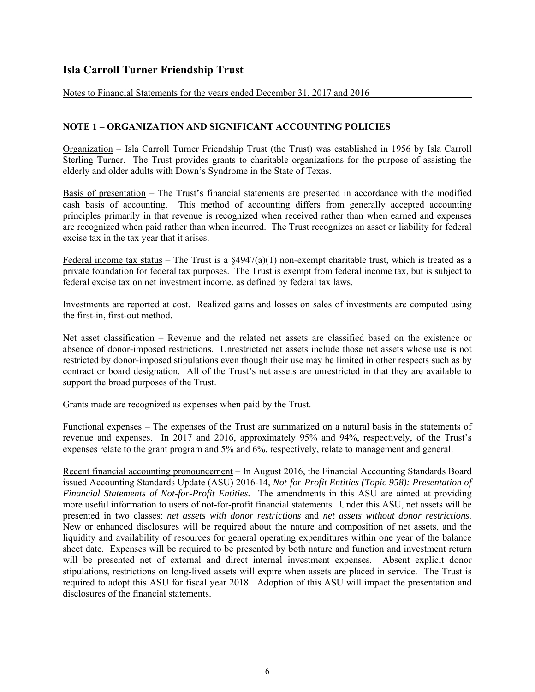Notes to Financial Statements for the years ended December 31, 2017 and 2016

### **NOTE 1 – ORGANIZATION AND SIGNIFICANT ACCOUNTING POLICIES**

Organization – Isla Carroll Turner Friendship Trust (the Trust) was established in 1956 by Isla Carroll Sterling Turner. The Trust provides grants to charitable organizations for the purpose of assisting the elderly and older adults with Down's Syndrome in the State of Texas.

Basis of presentation – The Trust's financial statements are presented in accordance with the modified cash basis of accounting. This method of accounting differs from generally accepted accounting principles primarily in that revenue is recognized when received rather than when earned and expenses are recognized when paid rather than when incurred. The Trust recognizes an asset or liability for federal excise tax in the tax year that it arises.

Federal income tax status – The Trust is a  $\S 4947(a)(1)$  non-exempt charitable trust, which is treated as a private foundation for federal tax purposes. The Trust is exempt from federal income tax, but is subject to federal excise tax on net investment income, as defined by federal tax laws.

Investments are reported at cost. Realized gains and losses on sales of investments are computed using the first-in, first-out method.

Net asset classification – Revenue and the related net assets are classified based on the existence or absence of donor-imposed restrictions. Unrestricted net assets include those net assets whose use is not restricted by donor-imposed stipulations even though their use may be limited in other respects such as by contract or board designation. All of the Trust's net assets are unrestricted in that they are available to support the broad purposes of the Trust.

Grants made are recognized as expenses when paid by the Trust.

Functional expenses – The expenses of the Trust are summarized on a natural basis in the statements of revenue and expenses. In 2017 and 2016, approximately 95% and 94%, respectively, of the Trust's expenses relate to the grant program and 5% and 6%, respectively, relate to management and general.

Recent financial accounting pronouncement – In August 2016, the Financial Accounting Standards Board issued Accounting Standards Update (ASU) 2016-14, *Not-for-Profit Entities (Topic 958): Presentation of Financial Statements of Not-for-Profit Entities.* The amendments in this ASU are aimed at providing more useful information to users of not-for-profit financial statements. Under this ASU, net assets will be presented in two classes: *net assets with donor restrictions* and *net assets without donor restrictions.* New or enhanced disclosures will be required about the nature and composition of net assets, and the liquidity and availability of resources for general operating expenditures within one year of the balance sheet date. Expenses will be required to be presented by both nature and function and investment return will be presented net of external and direct internal investment expenses. Absent explicit donor stipulations, restrictions on long-lived assets will expire when assets are placed in service. The Trust is required to adopt this ASU for fiscal year 2018. Adoption of this ASU will impact the presentation and disclosures of the financial statements.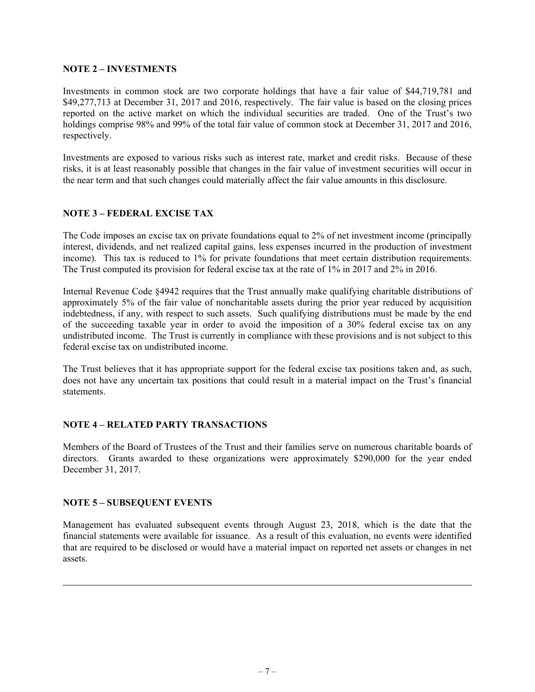### **NOTE 2 – INVESTMENTS**

Investments in common stock are two corporate holdings that have a fair value of \$44,719,781 and \$49,277,713 at December 31, 2017 and 2016, respectively. The fair value is based on the closing prices reported on the active market on which the individual securities are traded. One of the Trust's two holdings comprise 98% and 99% of the total fair value of common stock at December 31, 2017 and 2016, respectively.

Investments are exposed to various risks such as interest rate, market and credit risks. Because of these risks, it is at least reasonably possible that changes in the fair value of investment securities will occur in the near term and that such changes could materially affect the fair value amounts in this disclosure.

### **NOTE 3 – FEDERAL EXCISE TAX**

The Code imposes an excise tax on private foundations equal to 2% of net investment income (principally interest, dividends, and net realized capital gains, less expenses incurred in the production of investment income). This tax is reduced to 1% for private foundations that meet certain distribution requirements. The Trust computed its provision for federal excise tax at the rate of 1% in 2017 and 2% in 2016.

Internal Revenue Code §4942 requires that the Trust annually make qualifying charitable distributions of approximately 5% of the fair value of noncharitable assets during the prior year reduced by acquisition indebtedness, if any, with respect to such assets. Such qualifying distributions must be made by the end of the succeeding taxable year in order to avoid the imposition of a 30% federal excise tax on any undistributed income. The Trust is currently in compliance with these provisions and is not subject to this federal excise tax on undistributed income.

The Trust believes that it has appropriate support for the federal excise tax positions taken and, as such, does not have any uncertain tax positions that could result in a material impact on the Trust's financial statements.

### **NOTE 4 – RELATED PARTY TRANSACTIONS**

Members of the Board of Trustees of the Trust and their families serve on numerous charitable boards of directors. Grants awarded to these organizations were approximately \$290,000 for the year ended December 31, 2017.

### **NOTE 5 – SUBSEQUENT EVENTS**

Management has evaluated subsequent events through August 23, 2018, which is the date that the financial statements were available for issuance. As a result of this evaluation, no events were identified that are required to be disclosed or would have a material impact on reported net assets or changes in net assets.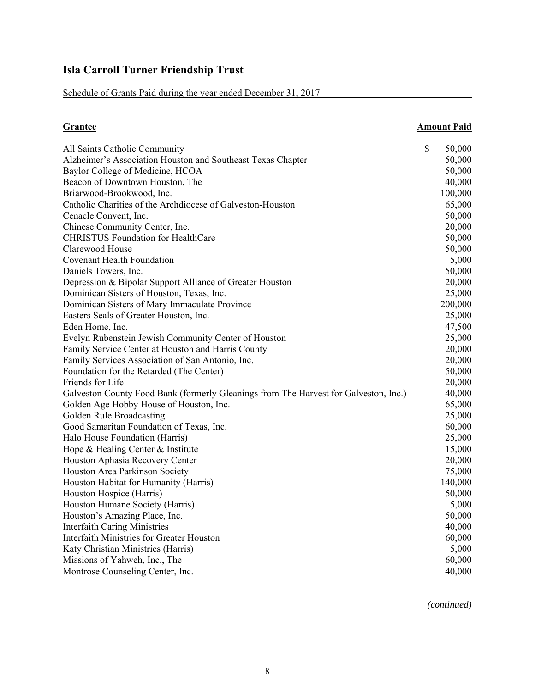Schedule of Grants Paid during the year ended December 31, 2017

| <b>Grantee</b>                                                                       | <b>Amount Paid</b> |
|--------------------------------------------------------------------------------------|--------------------|
| All Saints Catholic Community                                                        | \$<br>50,000       |
| Alzheimer's Association Houston and Southeast Texas Chapter                          | 50,000             |
| Baylor College of Medicine, HCOA                                                     | 50,000             |
| Beacon of Downtown Houston, The                                                      | 40,000             |
| Briarwood-Brookwood, Inc.                                                            | 100,000            |
| Catholic Charities of the Archdiocese of Galveston-Houston                           | 65,000             |
| Cenacle Convent, Inc.                                                                | 50,000             |
| Chinese Community Center, Inc.                                                       | 20,000             |
| <b>CHRISTUS Foundation for HealthCare</b>                                            | 50,000             |
| Clarewood House                                                                      | 50,000             |
| <b>Covenant Health Foundation</b>                                                    | 5,000              |
| Daniels Towers, Inc.                                                                 | 50,000             |
| Depression & Bipolar Support Alliance of Greater Houston                             | 20,000             |
| Dominican Sisters of Houston, Texas, Inc.                                            | 25,000             |
| Dominican Sisters of Mary Immaculate Province                                        | 200,000            |
| Easters Seals of Greater Houston, Inc.                                               | 25,000             |
| Eden Home, Inc.                                                                      | 47,500             |
| Evelyn Rubenstein Jewish Community Center of Houston                                 | 25,000             |
| Family Service Center at Houston and Harris County                                   | 20,000             |
| Family Services Association of San Antonio, Inc.                                     | 20,000             |
| Foundation for the Retarded (The Center)                                             | 50,000             |
| Friends for Life                                                                     | 20,000             |
| Galveston County Food Bank (formerly Gleanings from The Harvest for Galveston, Inc.) | 40,000             |
| Golden Age Hobby House of Houston, Inc.                                              | 65,000             |
| Golden Rule Broadcasting                                                             | 25,000             |
| Good Samaritan Foundation of Texas, Inc.                                             | 60,000             |
| Halo House Foundation (Harris)                                                       | 25,000             |
| Hope & Healing Center & Institute                                                    | 15,000             |
| Houston Aphasia Recovery Center                                                      | 20,000             |
| Houston Area Parkinson Society                                                       | 75,000             |
| Houston Habitat for Humanity (Harris)                                                | 140,000            |
| Houston Hospice (Harris)                                                             | 50,000             |
| Houston Humane Society (Harris)                                                      | 5,000              |
| Houston's Amazing Place, Inc.                                                        | 50,000             |
| <b>Interfaith Caring Ministries</b>                                                  | 40,000             |
| <b>Interfaith Ministries for Greater Houston</b>                                     | 60,000             |
| Katy Christian Ministries (Harris)                                                   | 5,000              |
| Missions of Yahweh, Inc., The                                                        | 60,000             |
| Montrose Counseling Center, Inc.                                                     | 40,000             |

*(continued)*